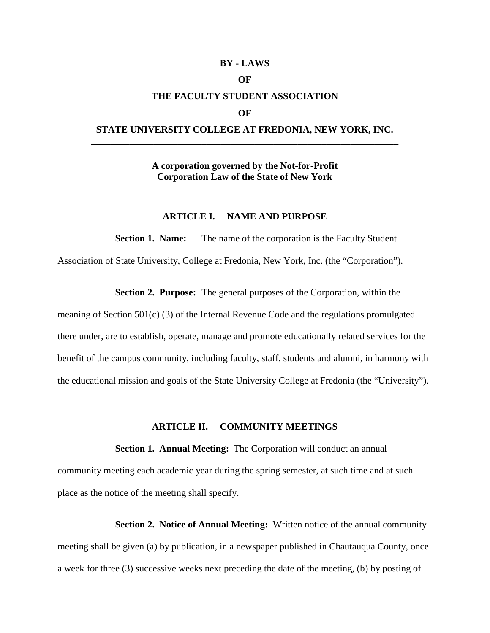## **BY - LAWS**

# **OF**

## **THE FACULTY STUDENT ASSOCIATION**

#### **OF**

# **STATE UNIVERSITY COLLEGE AT FREDONIA, NEW YORK, INC. \_\_\_\_\_\_\_\_\_\_\_\_\_\_\_\_\_\_\_\_\_\_\_\_\_\_\_\_\_\_\_\_\_\_\_\_\_\_\_\_\_\_\_\_\_\_\_\_\_\_\_\_\_\_\_\_\_\_\_\_\_\_\_\_**

# **A corporation governed by the Not-for-Profit Corporation Law of the State of New York**

## **ARTICLE I. NAME AND PURPOSE**

**Section 1. Name:** The name of the corporation is the Faculty Student Association of State University, College at Fredonia, New York, Inc. (the "Corporation").

**Section 2. Purpose:** The general purposes of the Corporation, within the

meaning of Section 501(c) (3) of the Internal Revenue Code and the regulations promulgated there under, are to establish, operate, manage and promote educationally related services for the benefit of the campus community, including faculty, staff, students and alumni, in harmony with the educational mission and goals of the State University College at Fredonia (the "University").

## **ARTICLE II. COMMUNITY MEETINGS**

**Section 1. Annual Meeting:** The Corporation will conduct an annual community meeting each academic year during the spring semester, at such time and at such place as the notice of the meeting shall specify.

**Section 2. Notice of Annual Meeting:** Written notice of the annual community meeting shall be given (a) by publication, in a newspaper published in Chautauqua County, once a week for three (3) successive weeks next preceding the date of the meeting, (b) by posting of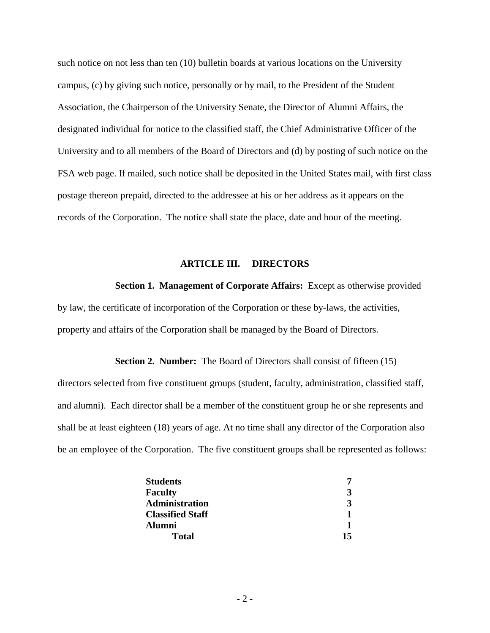such notice on not less than ten (10) bulletin boards at various locations on the University campus, (c) by giving such notice, personally or by mail, to the President of the Student Association, the Chairperson of the University Senate, the Director of Alumni Affairs, the designated individual for notice to the classified staff, the Chief Administrative Officer of the University and to all members of the Board of Directors and (d) by posting of such notice on the FSA web page. If mailed, such notice shall be deposited in the United States mail, with first class postage thereon prepaid, directed to the addressee at his or her address as it appears on the records of the Corporation. The notice shall state the place, date and hour of the meeting.

# **ARTICLE III. DIRECTORS**

**Section 1. Management of Corporate Affairs:** Except as otherwise provided by law, the certificate of incorporation of the Corporation or these by-laws, the activities, property and affairs of the Corporation shall be managed by the Board of Directors.

## **Section 2. Number:** The Board of Directors shall consist of fifteen (15)

directors selected from five constituent groups (student, faculty, administration, classified staff, and alumni). Each director shall be a member of the constituent group he or she represents and shall be at least eighteen (18) years of age. At no time shall any director of the Corporation also be an employee of the Corporation. The five constituent groups shall be represented as follows:

| <b>Students</b>         |    |
|-------------------------|----|
| <b>Faculty</b>          | 3  |
| Administration          | 3  |
| <b>Classified Staff</b> |    |
| Alumni                  |    |
| Total                   | 15 |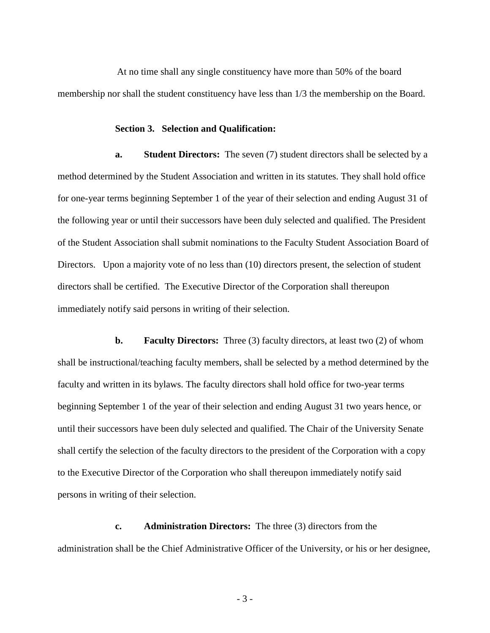At no time shall any single constituency have more than 50% of the board membership nor shall the student constituency have less than 1/3 the membership on the Board.

#### **Section 3. Selection and Qualification:**

**a. Student Directors:** The seven (7) student directors shall be selected by a method determined by the Student Association and written in its statutes. They shall hold office for one-year terms beginning September 1 of the year of their selection and ending August 31 of the following year or until their successors have been duly selected and qualified. The President of the Student Association shall submit nominations to the Faculty Student Association Board of Directors. Upon a majority vote of no less than (10) directors present, the selection of student directors shall be certified. The Executive Director of the Corporation shall thereupon immediately notify said persons in writing of their selection.

**b. Faculty Directors:** Three (3) faculty directors, at least two (2) of whom shall be instructional/teaching faculty members, shall be selected by a method determined by the faculty and written in its bylaws. The faculty directors shall hold office for two-year terms beginning September 1 of the year of their selection and ending August 31 two years hence, or until their successors have been duly selected and qualified. The Chair of the University Senate shall certify the selection of the faculty directors to the president of the Corporation with a copy to the Executive Director of the Corporation who shall thereupon immediately notify said persons in writing of their selection.

**c. Administration Directors:** The three (3) directors from the administration shall be the Chief Administrative Officer of the University, or his or her designee,

- 3 -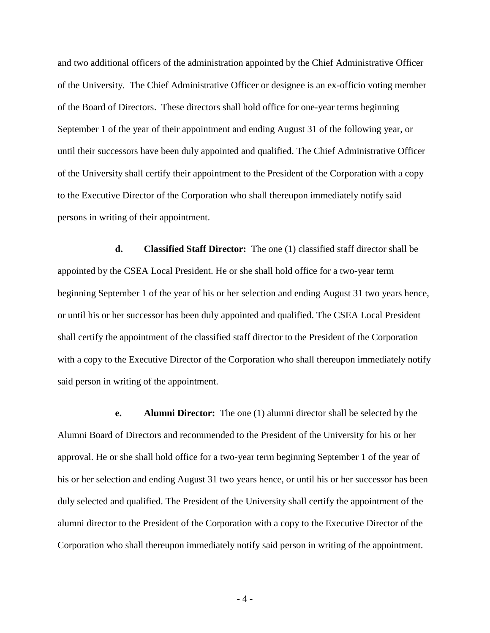and two additional officers of the administration appointed by the Chief Administrative Officer of the University. The Chief Administrative Officer or designee is an ex-officio voting member of the Board of Directors. These directors shall hold office for one-year terms beginning September 1 of the year of their appointment and ending August 31 of the following year, or until their successors have been duly appointed and qualified. The Chief Administrative Officer of the University shall certify their appointment to the President of the Corporation with a copy to the Executive Director of the Corporation who shall thereupon immediately notify said persons in writing of their appointment.

**d. Classified Staff Director:** The one (1) classified staff director shall be appointed by the CSEA Local President. He or she shall hold office for a two-year term beginning September 1 of the year of his or her selection and ending August 31 two years hence, or until his or her successor has been duly appointed and qualified. The CSEA Local President shall certify the appointment of the classified staff director to the President of the Corporation with a copy to the Executive Director of the Corporation who shall thereupon immediately notify said person in writing of the appointment.

**e. Alumni Director:** The one (1) alumni director shall be selected by the Alumni Board of Directors and recommended to the President of the University for his or her approval. He or she shall hold office for a two-year term beginning September 1 of the year of his or her selection and ending August 31 two years hence, or until his or her successor has been duly selected and qualified. The President of the University shall certify the appointment of the alumni director to the President of the Corporation with a copy to the Executive Director of the Corporation who shall thereupon immediately notify said person in writing of the appointment.

- 4 -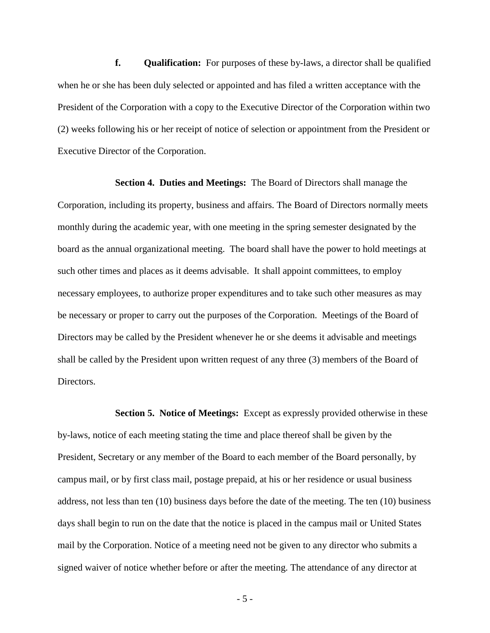**f. Qualification:** For purposes of these by-laws, a director shall be qualified when he or she has been duly selected or appointed and has filed a written acceptance with the President of the Corporation with a copy to the Executive Director of the Corporation within two (2) weeks following his or her receipt of notice of selection or appointment from the President or Executive Director of the Corporation.

**Section 4. Duties and Meetings:** The Board of Directors shall manage the Corporation, including its property, business and affairs. The Board of Directors normally meets monthly during the academic year, with one meeting in the spring semester designated by the board as the annual organizational meeting. The board shall have the power to hold meetings at such other times and places as it deems advisable. It shall appoint committees, to employ necessary employees, to authorize proper expenditures and to take such other measures as may be necessary or proper to carry out the purposes of the Corporation. Meetings of the Board of Directors may be called by the President whenever he or she deems it advisable and meetings shall be called by the President upon written request of any three (3) members of the Board of Directors.

**Section 5. Notice of Meetings:** Except as expressly provided otherwise in these by-laws, notice of each meeting stating the time and place thereof shall be given by the President, Secretary or any member of the Board to each member of the Board personally, by campus mail, or by first class mail, postage prepaid, at his or her residence or usual business address, not less than ten (10) business days before the date of the meeting. The ten (10) business days shall begin to run on the date that the notice is placed in the campus mail or United States mail by the Corporation. Notice of a meeting need not be given to any director who submits a signed waiver of notice whether before or after the meeting. The attendance of any director at

- 5 -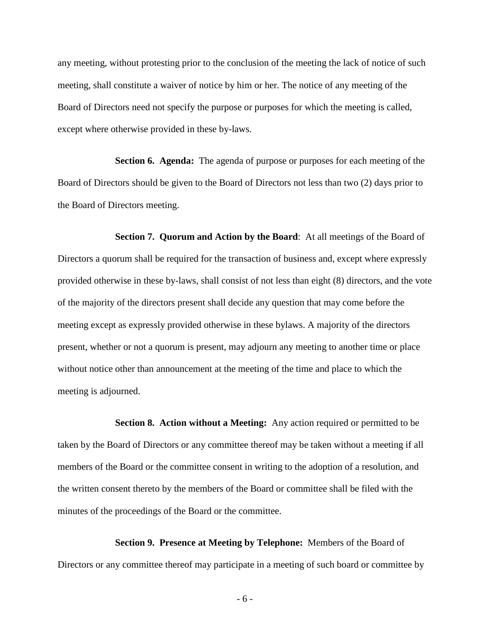any meeting, without protesting prior to the conclusion of the meeting the lack of notice of such meeting, shall constitute a waiver of notice by him or her. The notice of any meeting of the Board of Directors need not specify the purpose or purposes for which the meeting is called, except where otherwise provided in these by-laws.

**Section 6. Agenda:** The agenda of purpose or purposes for each meeting of the Board of Directors should be given to the Board of Directors not less than two (2) days prior to the Board of Directors meeting.

**Section 7. Quorum and Action by the Board**: At all meetings of the Board of Directors a quorum shall be required for the transaction of business and, except where expressly provided otherwise in these by-laws, shall consist of not less than eight (8) directors, and the vote of the majority of the directors present shall decide any question that may come before the meeting except as expressly provided otherwise in these bylaws. A majority of the directors present, whether or not a quorum is present, may adjourn any meeting to another time or place without notice other than announcement at the meeting of the time and place to which the meeting is adjourned.

**Section 8. Action without a Meeting:** Any action required or permitted to be taken by the Board of Directors or any committee thereof may be taken without a meeting if all members of the Board or the committee consent in writing to the adoption of a resolution, and the written consent thereto by the members of the Board or committee shall be filed with the minutes of the proceedings of the Board or the committee.

**Section 9. Presence at Meeting by Telephone:** Members of the Board of Directors or any committee thereof may participate in a meeting of such board or committee by

- 6 -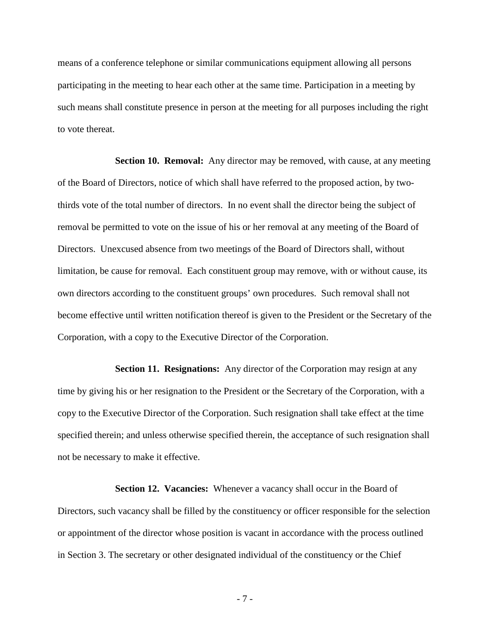means of a conference telephone or similar communications equipment allowing all persons participating in the meeting to hear each other at the same time. Participation in a meeting by such means shall constitute presence in person at the meeting for all purposes including the right to vote thereat.

**Section 10. Removal:** Any director may be removed, with cause, at any meeting of the Board of Directors, notice of which shall have referred to the proposed action, by twothirds vote of the total number of directors. In no event shall the director being the subject of removal be permitted to vote on the issue of his or her removal at any meeting of the Board of Directors. Unexcused absence from two meetings of the Board of Directors shall, without limitation, be cause for removal. Each constituent group may remove, with or without cause, its own directors according to the constituent groups' own procedures. Such removal shall not become effective until written notification thereof is given to the President or the Secretary of the Corporation, with a copy to the Executive Director of the Corporation.

**Section 11. Resignations:** Any director of the Corporation may resign at any time by giving his or her resignation to the President or the Secretary of the Corporation, with a copy to the Executive Director of the Corporation. Such resignation shall take effect at the time specified therein; and unless otherwise specified therein, the acceptance of such resignation shall not be necessary to make it effective.

Section 12. Vacancies: Whenever a vacancy shall occur in the Board of Directors, such vacancy shall be filled by the constituency or officer responsible for the selection or appointment of the director whose position is vacant in accordance with the process outlined in Section 3. The secretary or other designated individual of the constituency or the Chief

- 7 -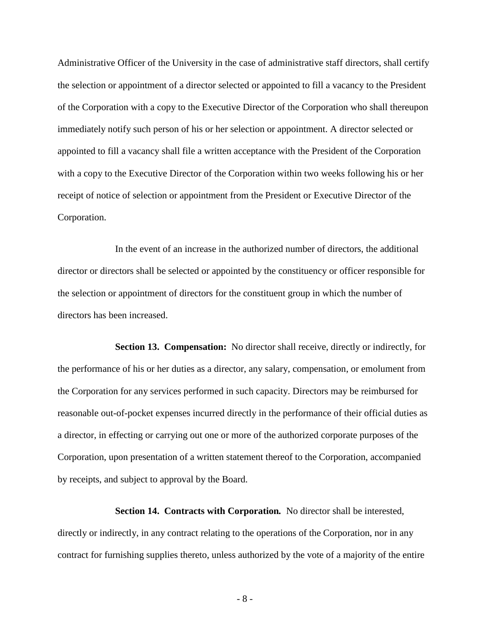Administrative Officer of the University in the case of administrative staff directors, shall certify the selection or appointment of a director selected or appointed to fill a vacancy to the President of the Corporation with a copy to the Executive Director of the Corporation who shall thereupon immediately notify such person of his or her selection or appointment. A director selected or appointed to fill a vacancy shall file a written acceptance with the President of the Corporation with a copy to the Executive Director of the Corporation within two weeks following his or her receipt of notice of selection or appointment from the President or Executive Director of the Corporation.

In the event of an increase in the authorized number of directors, the additional director or directors shall be selected or appointed by the constituency or officer responsible for the selection or appointment of directors for the constituent group in which the number of directors has been increased.

**Section 13. Compensation:** No director shall receive, directly or indirectly, for the performance of his or her duties as a director, any salary, compensation, or emolument from the Corporation for any services performed in such capacity. Directors may be reimbursed for reasonable out-of-pocket expenses incurred directly in the performance of their official duties as a director, in effecting or carrying out one or more of the authorized corporate purposes of the Corporation, upon presentation of a written statement thereof to the Corporation, accompanied by receipts, and subject to approval by the Board.

**Section 14. Contracts with Corporation***.* No director shall be interested, directly or indirectly, in any contract relating to the operations of the Corporation, nor in any contract for furnishing supplies thereto, unless authorized by the vote of a majority of the entire

- 8 -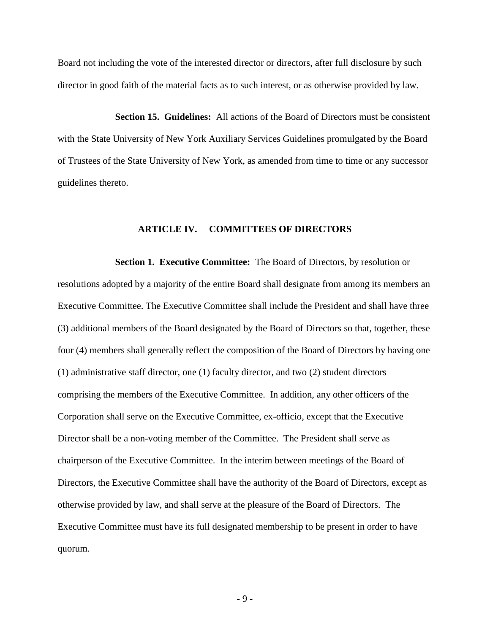Board not including the vote of the interested director or directors, after full disclosure by such director in good faith of the material facts as to such interest, or as otherwise provided by law.

**Section 15. Guidelines:** All actions of the Board of Directors must be consistent with the State University of New York Auxiliary Services Guidelines promulgated by the Board of Trustees of the State University of New York, as amended from time to time or any successor guidelines thereto.

# **ARTICLE IV. COMMITTEES OF DIRECTORS**

**Section 1. Executive Committee:** The Board of Directors, by resolution or resolutions adopted by a majority of the entire Board shall designate from among its members an Executive Committee. The Executive Committee shall include the President and shall have three (3) additional members of the Board designated by the Board of Directors so that, together, these four (4) members shall generally reflect the composition of the Board of Directors by having one (1) administrative staff director, one (1) faculty director, and two (2) student directors comprising the members of the Executive Committee. In addition, any other officers of the Corporation shall serve on the Executive Committee, ex-officio, except that the Executive Director shall be a non-voting member of the Committee. The President shall serve as chairperson of the Executive Committee. In the interim between meetings of the Board of Directors, the Executive Committee shall have the authority of the Board of Directors, except as otherwise provided by law, and shall serve at the pleasure of the Board of Directors. The Executive Committee must have its full designated membership to be present in order to have quorum.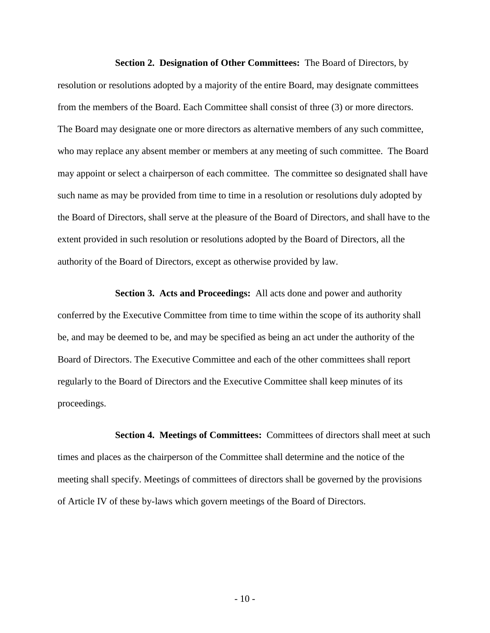**Section 2. Designation of Other Committees:** The Board of Directors, by resolution or resolutions adopted by a majority of the entire Board, may designate committees from the members of the Board. Each Committee shall consist of three (3) or more directors. The Board may designate one or more directors as alternative members of any such committee, who may replace any absent member or members at any meeting of such committee. The Board may appoint or select a chairperson of each committee. The committee so designated shall have such name as may be provided from time to time in a resolution or resolutions duly adopted by the Board of Directors, shall serve at the pleasure of the Board of Directors, and shall have to the extent provided in such resolution or resolutions adopted by the Board of Directors, all the authority of the Board of Directors, except as otherwise provided by law.

**Section 3. Acts and Proceedings:** All acts done and power and authority conferred by the Executive Committee from time to time within the scope of its authority shall be, and may be deemed to be, and may be specified as being an act under the authority of the Board of Directors. The Executive Committee and each of the other committees shall report regularly to the Board of Directors and the Executive Committee shall keep minutes of its proceedings.

**Section 4. Meetings of Committees:** Committees of directors shall meet at such times and places as the chairperson of the Committee shall determine and the notice of the meeting shall specify. Meetings of committees of directors shall be governed by the provisions of Article IV of these by-laws which govern meetings of the Board of Directors.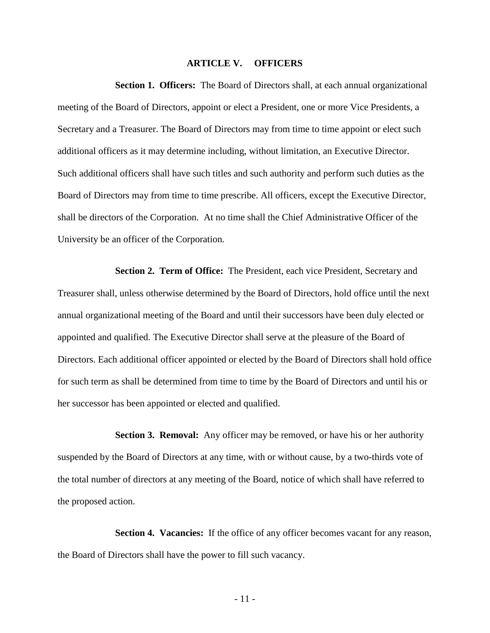# **ARTICLE V. OFFICERS**

**Section 1. Officers:** The Board of Directors shall, at each annual organizational meeting of the Board of Directors, appoint or elect a President, one or more Vice Presidents, a Secretary and a Treasurer. The Board of Directors may from time to time appoint or elect such additional officers as it may determine including, without limitation, an Executive Director. Such additional officers shall have such titles and such authority and perform such duties as the Board of Directors may from time to time prescribe. All officers, except the Executive Director, shall be directors of the Corporation. At no time shall the Chief Administrative Officer of the University be an officer of the Corporation.

**Section 2. Term of Office:** The President, each vice President, Secretary and Treasurer shall, unless otherwise determined by the Board of Directors, hold office until the next annual organizational meeting of the Board and until their successors have been duly elected or appointed and qualified. The Executive Director shall serve at the pleasure of the Board of Directors. Each additional officer appointed or elected by the Board of Directors shall hold office for such term as shall be determined from time to time by the Board of Directors and until his or her successor has been appointed or elected and qualified.

**Section 3. Removal:** Any officer may be removed, or have his or her authority suspended by the Board of Directors at any time, with or without cause, by a two-thirds vote of the total number of directors at any meeting of the Board, notice of which shall have referred to the proposed action.

**Section 4. Vacancies:** If the office of any officer becomes vacant for any reason, the Board of Directors shall have the power to fill such vacancy.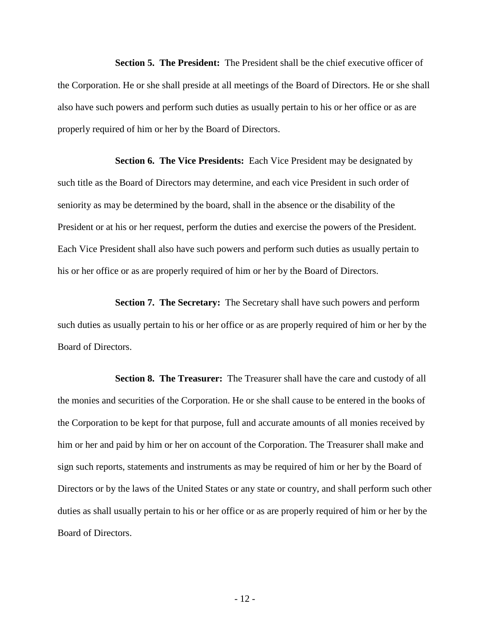**Section 5. The President:** The President shall be the chief executive officer of the Corporation. He or she shall preside at all meetings of the Board of Directors. He or she shall also have such powers and perform such duties as usually pertain to his or her office or as are properly required of him or her by the Board of Directors.

**Section 6. The Vice Presidents:** Each Vice President may be designated by such title as the Board of Directors may determine, and each vice President in such order of seniority as may be determined by the board, shall in the absence or the disability of the President or at his or her request, perform the duties and exercise the powers of the President. Each Vice President shall also have such powers and perform such duties as usually pertain to his or her office or as are properly required of him or her by the Board of Directors.

**Section 7. The Secretary:** The Secretary shall have such powers and perform such duties as usually pertain to his or her office or as are properly required of him or her by the Board of Directors.

**Section 8. The Treasurer:** The Treasurer shall have the care and custody of all the monies and securities of the Corporation. He or she shall cause to be entered in the books of the Corporation to be kept for that purpose, full and accurate amounts of all monies received by him or her and paid by him or her on account of the Corporation. The Treasurer shall make and sign such reports, statements and instruments as may be required of him or her by the Board of Directors or by the laws of the United States or any state or country, and shall perform such other duties as shall usually pertain to his or her office or as are properly required of him or her by the Board of Directors.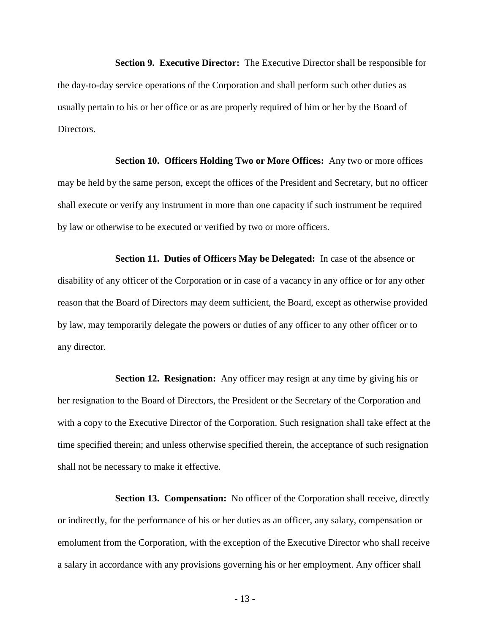**Section 9. Executive Director:** The Executive Director shall be responsible for the day-to-day service operations of the Corporation and shall perform such other duties as usually pertain to his or her office or as are properly required of him or her by the Board of Directors.

**Section 10. Officers Holding Two or More Offices:** Any two or more offices may be held by the same person, except the offices of the President and Secretary, but no officer shall execute or verify any instrument in more than one capacity if such instrument be required by law or otherwise to be executed or verified by two or more officers.

**Section 11. Duties of Officers May be Delegated:** In case of the absence or disability of any officer of the Corporation or in case of a vacancy in any office or for any other reason that the Board of Directors may deem sufficient, the Board, except as otherwise provided by law, may temporarily delegate the powers or duties of any officer to any other officer or to any director.

**Section 12. Resignation:** Any officer may resign at any time by giving his or her resignation to the Board of Directors, the President or the Secretary of the Corporation and with a copy to the Executive Director of the Corporation. Such resignation shall take effect at the time specified therein; and unless otherwise specified therein, the acceptance of such resignation shall not be necessary to make it effective.

**Section 13. Compensation:** No officer of the Corporation shall receive, directly or indirectly, for the performance of his or her duties as an officer, any salary, compensation or emolument from the Corporation, with the exception of the Executive Director who shall receive a salary in accordance with any provisions governing his or her employment. Any officer shall

- 13 -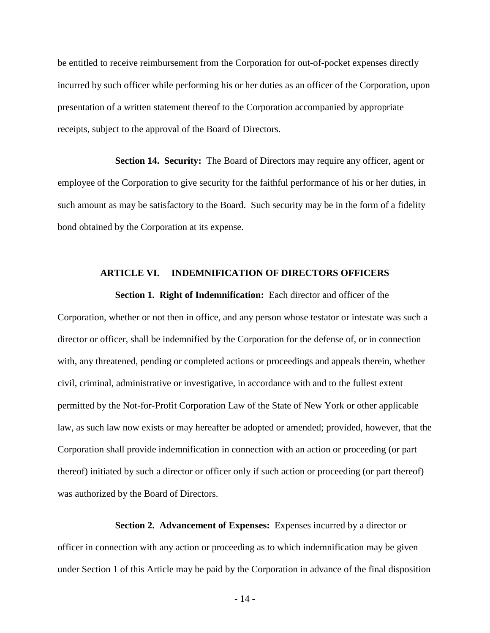be entitled to receive reimbursement from the Corporation for out-of-pocket expenses directly incurred by such officer while performing his or her duties as an officer of the Corporation, upon presentation of a written statement thereof to the Corporation accompanied by appropriate receipts, subject to the approval of the Board of Directors.

**Section 14. Security:** The Board of Directors may require any officer, agent or employee of the Corporation to give security for the faithful performance of his or her duties, in such amount as may be satisfactory to the Board. Such security may be in the form of a fidelity bond obtained by the Corporation at its expense.

## **ARTICLE VI. INDEMNIFICATION OF DIRECTORS OFFICERS**

**Section 1. Right of Indemnification:** Each director and officer of the Corporation, whether or not then in office, and any person whose testator or intestate was such a director or officer, shall be indemnified by the Corporation for the defense of, or in connection with, any threatened, pending or completed actions or proceedings and appeals therein, whether civil, criminal, administrative or investigative, in accordance with and to the fullest extent permitted by the Not-for-Profit Corporation Law of the State of New York or other applicable law, as such law now exists or may hereafter be adopted or amended; provided, however, that the Corporation shall provide indemnification in connection with an action or proceeding (or part thereof) initiated by such a director or officer only if such action or proceeding (or part thereof) was authorized by the Board of Directors.

**Section 2. Advancement of Expenses:** Expenses incurred by a director or officer in connection with any action or proceeding as to which indemnification may be given under Section 1 of this Article may be paid by the Corporation in advance of the final disposition

- 14 -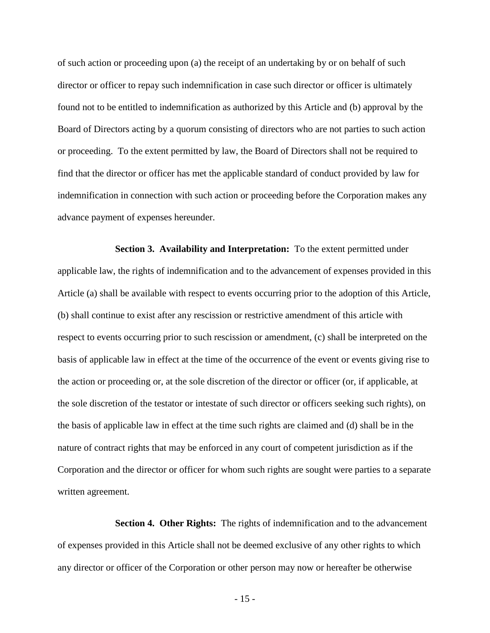of such action or proceeding upon (a) the receipt of an undertaking by or on behalf of such director or officer to repay such indemnification in case such director or officer is ultimately found not to be entitled to indemnification as authorized by this Article and (b) approval by the Board of Directors acting by a quorum consisting of directors who are not parties to such action or proceeding. To the extent permitted by law, the Board of Directors shall not be required to find that the director or officer has met the applicable standard of conduct provided by law for indemnification in connection with such action or proceeding before the Corporation makes any advance payment of expenses hereunder.

**Section 3. Availability and Interpretation:** To the extent permitted under applicable law, the rights of indemnification and to the advancement of expenses provided in this Article (a) shall be available with respect to events occurring prior to the adoption of this Article, (b) shall continue to exist after any rescission or restrictive amendment of this article with respect to events occurring prior to such rescission or amendment, (c) shall be interpreted on the basis of applicable law in effect at the time of the occurrence of the event or events giving rise to the action or proceeding or, at the sole discretion of the director or officer (or, if applicable, at the sole discretion of the testator or intestate of such director or officers seeking such rights), on the basis of applicable law in effect at the time such rights are claimed and (d) shall be in the nature of contract rights that may be enforced in any court of competent jurisdiction as if the Corporation and the director or officer for whom such rights are sought were parties to a separate written agreement.

**Section 4. Other Rights:** The rights of indemnification and to the advancement of expenses provided in this Article shall not be deemed exclusive of any other rights to which any director or officer of the Corporation or other person may now or hereafter be otherwise

- 15 -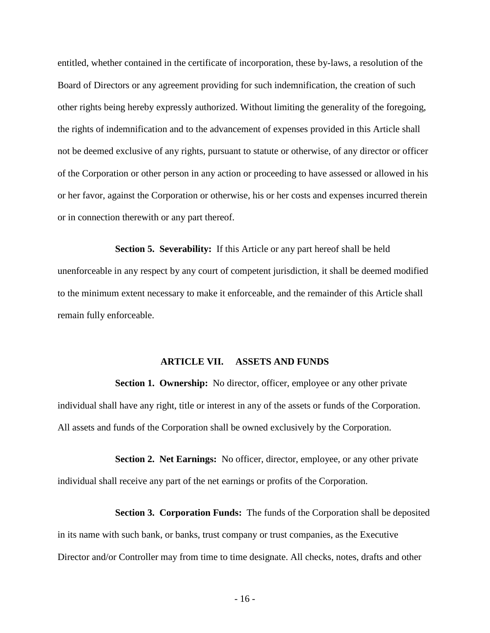entitled, whether contained in the certificate of incorporation, these by-laws, a resolution of the Board of Directors or any agreement providing for such indemnification, the creation of such other rights being hereby expressly authorized. Without limiting the generality of the foregoing, the rights of indemnification and to the advancement of expenses provided in this Article shall not be deemed exclusive of any rights, pursuant to statute or otherwise, of any director or officer of the Corporation or other person in any action or proceeding to have assessed or allowed in his or her favor, against the Corporation or otherwise, his or her costs and expenses incurred therein or in connection therewith or any part thereof.

**Section 5. Severability:** If this Article or any part hereof shall be held unenforceable in any respect by any court of competent jurisdiction, it shall be deemed modified to the minimum extent necessary to make it enforceable, and the remainder of this Article shall remain fully enforceable.

## **ARTICLE VII. ASSETS AND FUNDS**

**Section 1. Ownership:** No director, officer, employee or any other private individual shall have any right, title or interest in any of the assets or funds of the Corporation. All assets and funds of the Corporation shall be owned exclusively by the Corporation.

**Section 2. Net Earnings:** No officer, director, employee, or any other private individual shall receive any part of the net earnings or profits of the Corporation.

**Section 3. Corporation Funds:** The funds of the Corporation shall be deposited in its name with such bank, or banks, trust company or trust companies, as the Executive Director and/or Controller may from time to time designate. All checks, notes, drafts and other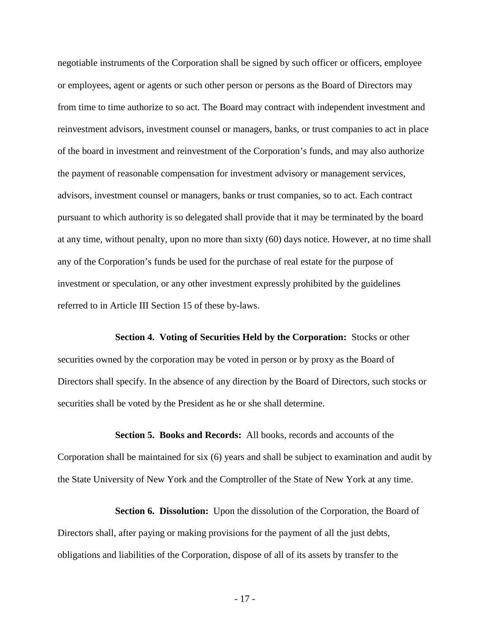negotiable instruments of the Corporation shall be signed by such officer or officers, employee or employees, agent or agents or such other person or persons as the Board of Directors may from time to time authorize to so act. The Board may contract with independent investment and reinvestment advisors, investment counsel or managers, banks, or trust companies to act in place of the board in investment and reinvestment of the Corporation's funds, and may also authorize the payment of reasonable compensation for investment advisory or management services, advisors, investment counsel or managers, banks or trust companies, so to act. Each contract pursuant to which authority is so delegated shall provide that it may be terminated by the board at any time, without penalty, upon no more than sixty (60) days notice. However, at no time shall any of the Corporation's funds be used for the purchase of real estate for the purpose of investment or speculation, or any other investment expressly prohibited by the guidelines referred to in Article III Section 15 of these by-laws.

**Section 4. Voting of Securities Held by the Corporation:** Stocks or other securities owned by the corporation may be voted in person or by proxy as the Board of Directors shall specify. In the absence of any direction by the Board of Directors, such stocks or securities shall be voted by the President as he or she shall determine.

**Section 5. Books and Records:** All books, records and accounts of the Corporation shall be maintained for six (6) years and shall be subject to examination and audit by the State University of New York and the Comptroller of the State of New York at any time.

**Section 6. Dissolution:** Upon the dissolution of the Corporation, the Board of Directors shall, after paying or making provisions for the payment of all the just debts, obligations and liabilities of the Corporation, dispose of all of its assets by transfer to the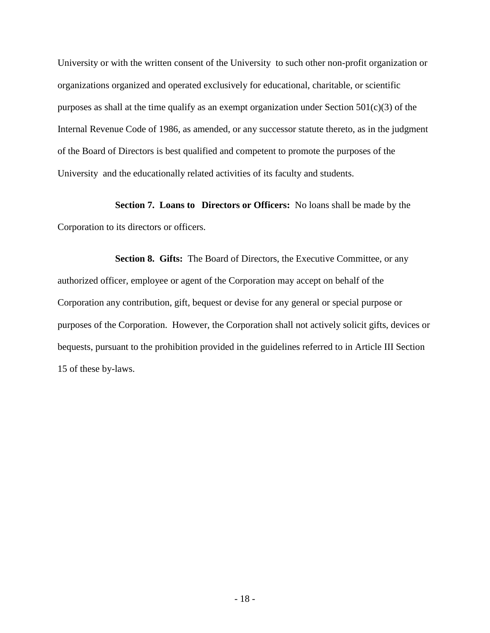University or with the written consent of the University to such other non-profit organization or organizations organized and operated exclusively for educational, charitable, or scientific purposes as shall at the time qualify as an exempt organization under Section  $501(c)(3)$  of the Internal Revenue Code of 1986, as amended, or any successor statute thereto, as in the judgment of the Board of Directors is best qualified and competent to promote the purposes of the University and the educationally related activities of its faculty and students.

**Section 7. Loans to Directors or Officers:** No loans shall be made by the Corporation to its directors or officers.

**Section 8. Gifts:** The Board of Directors, the Executive Committee, or any authorized officer, employee or agent of the Corporation may accept on behalf of the Corporation any contribution, gift, bequest or devise for any general or special purpose or purposes of the Corporation. However, the Corporation shall not actively solicit gifts, devices or bequests, pursuant to the prohibition provided in the guidelines referred to in Article III Section 15 of these by-laws.